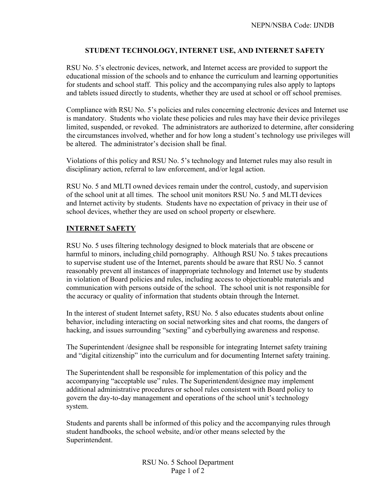## **STUDENT TECHNOLOGY, INTERNET USE, AND INTERNET SAFETY**

RSU No. 5's electronic devices, network, and Internet access are provided to support the educational mission of the schools and to enhance the curriculum and learning opportunities for students and school staff. This policy and the accompanying rules also apply to laptops and tablets issued directly to students, whether they are used at school or off school premises.

Compliance with RSU No. 5's policies and rules concerning electronic devices and Internet use is mandatory. Students who violate these policies and rules may have their device privileges limited, suspended, or revoked. The administrators are authorized to determine, after considering the circumstances involved, whether and for how long a student's technology use privileges will be altered. The administrator's decision shall be final.

Violations of this policy and RSU No. 5's technology and Internet rules may also result in disciplinary action, referral to law enforcement, and/or legal action.

RSU No. 5 and MLTI owned devices remain under the control, custody, and supervision of the school unit at all times. The school unit monitors RSU No. 5 and MLTI devices and Internet activity by students. Students have no expectation of privacy in their use of school devices, whether they are used on school property or elsewhere.

## **INTERNET SAFETY**

RSU No. 5 uses filtering technology designed to block materials that are obscene or harmful to minors, including child pornography. Although RSU No. 5 takes precautions to supervise student use of the Internet, parents should be aware that RSU No. 5 cannot reasonably prevent all instances of inappropriate technology and Internet use by students in violation of Board policies and rules, including access to objectionable materials and communication with persons outside of the school. The school unit is not responsible for the accuracy or quality of information that students obtain through the Internet.

In the interest of student Internet safety, RSU No. 5 also educates students about online behavior, including interacting on social networking sites and chat rooms, the dangers of hacking, and issues surrounding "sexting" and cyberbullying awareness and response.

The Superintendent /designee shall be responsible for integrating Internet safety training and "digital citizenship" into the curriculum and for documenting Internet safety training.

The Superintendent shall be responsible for implementation of this policy and the accompanying "acceptable use" rules. The Superintendent/designee may implement additional administrative procedures or school rules consistent with Board policy to govern the day-to-day management and operations of the school unit's technology system.

Students and parents shall be informed of this policy and the accompanying rules through student handbooks, the school website, and/or other means selected by the Superintendent.